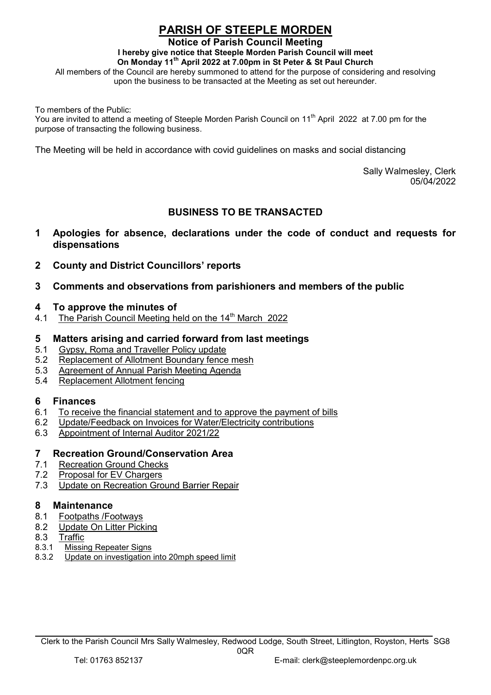# PARISH OF STEEPLE MORDEN

#### Notice of Parish Council Meeting

I hereby give notice that Steeple Morden Parish Council will meet

On Monday 11th April 2022 at 7.00pm in St Peter & St Paul Church

All members of the Council are hereby summoned to attend for the purpose of considering and resolving upon the business to be transacted at the Meeting as set out hereunder.

To members of the Public:

You are invited to attend a meeting of Steeple Morden Parish Council on 11<sup>th</sup> April 2022 at 7.00 pm for the purpose of transacting the following business.

The Meeting will be held in accordance with covid guidelines on masks and social distancing

 Sally Walmesley, Clerk 05/04/2022

# BUSINESS TO BE TRANSACTED

- 1 Apologies for absence, declarations under the code of conduct and requests for dispensations
- 2 County and District Councillors' reports
- 3 Comments and observations from parishioners and members of the public

#### 4 To approve the minutes of

4.1 The Parish Council Meeting held on the 14<sup>th</sup> March 2022

### 5 Matters arising and carried forward from last meetings

- 5.1 Gypsy, Roma and Traveller Policy update
- 5.2 Replacement of Allotment Boundary fence mesh
- 5.3 Agreement of Annual Parish Meeting Agenda
- 5.4 Replacement Allotment fencing

### 6 Finances

- 6.1 To receive the financial statement and to approve the payment of bills
- 6.2 Update/Feedback on Invoices for Water/Electricity contributions
- 6.3 Appointment of Internal Auditor 2021/22

#### 7 Recreation Ground/Conservation Area

- 7.1 Recreation Ground Checks
- 7.2 Proposal for EV Chargers
- 7.3 Update on Recreation Ground Barrier Repair

#### 8 Maintenance

- 8.1 Footpaths /Footways
- 8.2 Update On Litter Picking
- 8.3 Traffic
- 8.3.1 Missing Repeater Signs
- 8.3.2 Update on investigation into 20mph speed limit